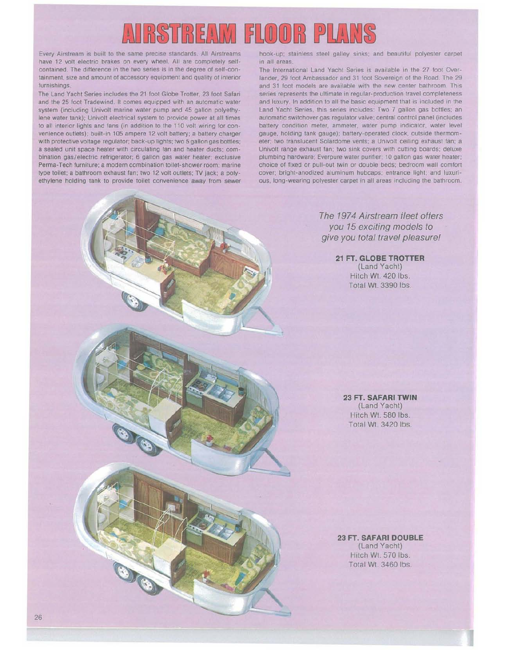# $\left( 0|0|\mathbb{R}\right)$  P  $\begin{bmatrix} 1 & 2 \\ 3 & 5 \end{bmatrix}$   $\begin{bmatrix} 2 & 1 \\ 2 & 1 \end{bmatrix}$   $\begin{bmatrix} 1 & 1 \\ 2 & 1 \end{bmatrix}$

Every Airstream is built to the same precise standards All Airstreams have 12 volt electric brakes on every wheel. All are completely selfcontained. The difference in the two series is in the degree of self-containment, size and amount of accessory equipment and quality of interior furnishings.

The Land Yacht Series includes the 21 foot Globe Trotter, 23 foot Safan and the 25 foot Tradewind. It comes equipped with an automatic water system (including Univolt marine water pump and 45 gallon polyethylene water tank); Univolt electrical system to provide power at all times to all interior lights and fans (in addition to the 110 volt wiring for convenience outlets); built-in 105 ampere 12 volt battery; a battery charger with protective voltage regulator; back-up lights; two 5 gallon gas bottles; a sealed unit space heater with circulating fan and heater ducts; combination gas/electric refrigerator; 6 gallon gas water heater; exclusive Perma-Tech furniture; a modern combination toilet-shower room; marine type toilet; a bathroom exhaust fan; two 12 volt outlets; TV jack; a polyethylene holding tank to provide toilet convenience away from sewer

hook-up; stainless steel galley sinks, and beautiful polyester carpet in all areas.

The International Land Yacht Series is available in the 27 foot Overlander, 29 foot Ambassador and 31 foot Sovereign of the Road. The 29 and 31 foot models are available with the new center bathroom. This series represents the ultimate in regular-production travel completeness and luxury. In addition to all the basic equipment that is included in the Land Yacht Series, this series includes: Two 7 gallon gas bottles; an automatic switchover gas regulator valve; central control panel (includes battery condition meter, ammeter, water pump indicator, water level gauge, holding tank gauge); battery-operated clock, outside thermometer; two translucent Solardome vents; a Univolt ceiling exhaust fan; a Univolt range exhaust fan; two sink covers with cutting boards; deluxe plumbing hardware; Everpure water purifier; 10 gallon gas water heater; choice of fixed or pull-out twin or double beds; bedroom wall comfort cover; bright-anodized aluminum hubcaps; entrance light; and luxurious, long-wearing polyester carpet in all areas including the bathroom.

> The 1974 Airstream fleet offers you 15 exciting models to give you total travel pleasure!

> > **21 FT. GLOBE TROTTER** (Land Yacht) Hitch Wt. 420 Ibs. Total Wt. 3390 Ibs.

**23 FT. SAFARI TWIN** (Land Yacht) Hitch Wt. 580 Ibs. Total Wt. 3420 Ibs.

**23 FT. SAFARI DOUBLE** (Land Yacht)

Hitch Wt. 570 Ibs. Total Wt. 3460 Ibs.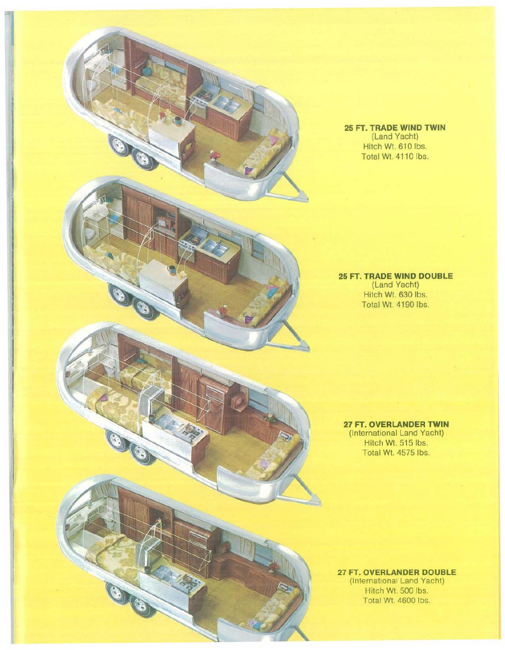

## **25 FT. TRADE WIND TWIN** (Land Yacht) Hitch Wt. 610 Ibs. Total Wt. 4110 Ibs.

## **25 FT. TRADE WIND DOUBLE** (Land Yacht) Hitch Wt. 630 Ibs. Total Wt. 4190 Ibs.

**27 FT. OVERLANDER TWIN** (International Land Yacht) Hitch Wt. 515 Ibs. Total Wt. 4575 Ibs.

**27 FT. OVERLANDER DOUBLE** (International Land Yacht) Hitch Wt. 500 Ibs. Total Wt. 4600 Ibs.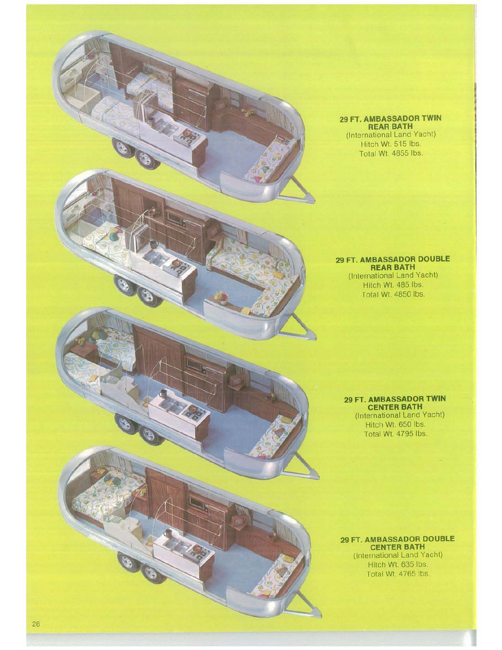

### **29 FT. AMBASSADOR DOUBLE REAR BATH** (International Land Yacht) Hitch Wt. 485 Ibs.

Total Wt. 4850 Ibs.

#### **29 FT. AMBASSADOR TWIN CENTER BATH** (International Land Yacht) Hitch WI. 650 Ibs. Total Wt. 4795 Ibs.

**29 FT. AMBASSADOR DOUBLE CENTER BATH** (International Land Yacht) Hitch Wt. 635 Ibs. Total WI. 4765 Ibs.